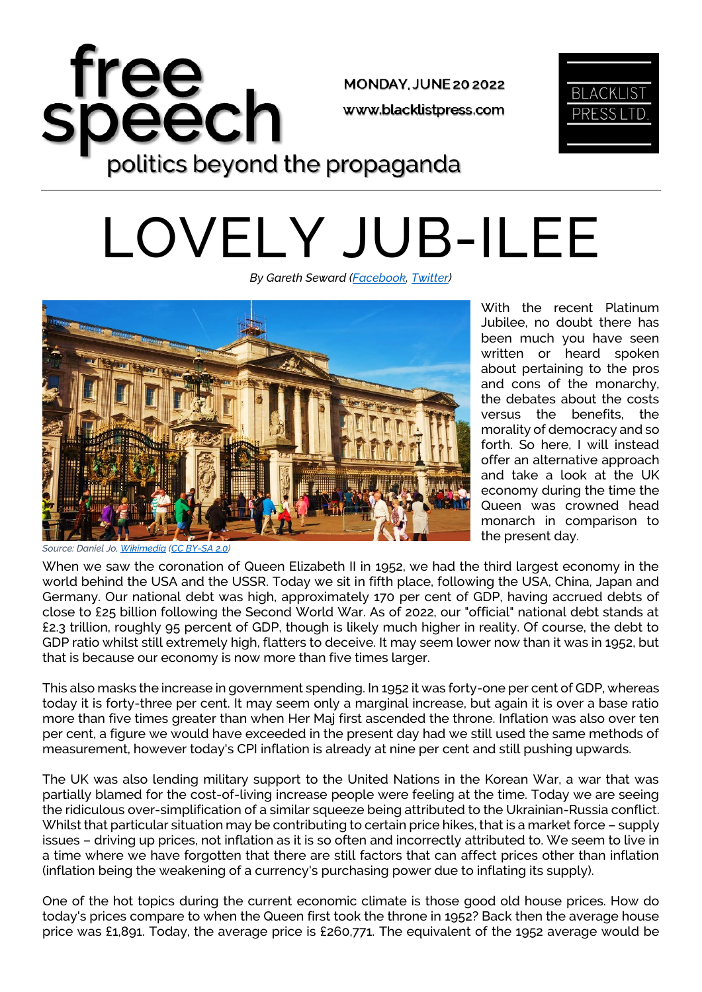



*By Gareth Seward [\(Facebook,](https://www.facebook.com/GarethSewardLPUK) [Twitter\)](https://twitter.com/GarethSeward80)*



With the recent Platinum Jubilee, no doubt there has been much you have seen written or heard spoken about pertaining to the pros and cons of the monarchy, the debates about the costs versus the benefits, the morality of democracy and so forth. So here, I will instead offer an alternative approach and take a look at the UK economy during the time the Queen was crowned head monarch in comparison to the present day.

*Source: Daniel Jo[, Wikimedia](https://upload.wikimedia.org/wikipedia/commons/4/4e/Buckingham_Palace_%2829794489285%29.jpg) [\(CC BY-SA 2.0\)](https://creativecommons.org/licenses/by-sa/2.0/deed.en)*

When we saw the coronation of Queen Elizabeth II in 1952, we had the third largest economy in the world behind the USA and the USSR. Today we sit in fifth place, following the USA, China, Japan and Germany. Our national debt was high, approximately 170 per cent of GDP, having accrued debts of close to £25 billion following the Second World War. As of 2022, our "official" national debt stands at £2.3 trillion, roughly 95 percent of GDP, though is likely much higher in reality. Of course, the debt to GDP ratio whilst still extremely high, flatters to deceive. It may seem lower now than it was in 1952, but that is because our economy is now more than five times larger.

This also masks the increase in government spending. In 1952 it was forty-one per cent of GDP, whereas today it is forty-three per cent. It may seem only a marginal increase, but again it is over a base ratio more than five times greater than when Her Maj first ascended the throne. Inflation was also over ten per cent, a figure we would have exceeded in the present day had we still used the same methods of measurement, however today's CPI inflation is already at nine per cent and still pushing upwards.

The UK was also lending military support to the United Nations in the Korean War, a war that was partially blamed for the cost-of-living increase people were feeling at the time. Today we are seeing the ridiculous over-simplification of a similar squeeze being attributed to the Ukrainian-Russia conflict. Whilst that particular situation may be contributing to certain price hikes, that is a market force – supply issues – driving up prices, not inflation as it is so often and incorrectly attributed to. We seem to live in a time where we have forgotten that there are still factors that can affect prices other than inflation (inflation being the weakening of a currency's purchasing power due to inflating its supply).

One of the hot topics during the current economic climate is those good old house prices. How do today's prices compare to when the Queen first took the throne in 1952? Back then the average house price was £1,891. Today, the average price is £260,771. The equivalent of the 1952 average would be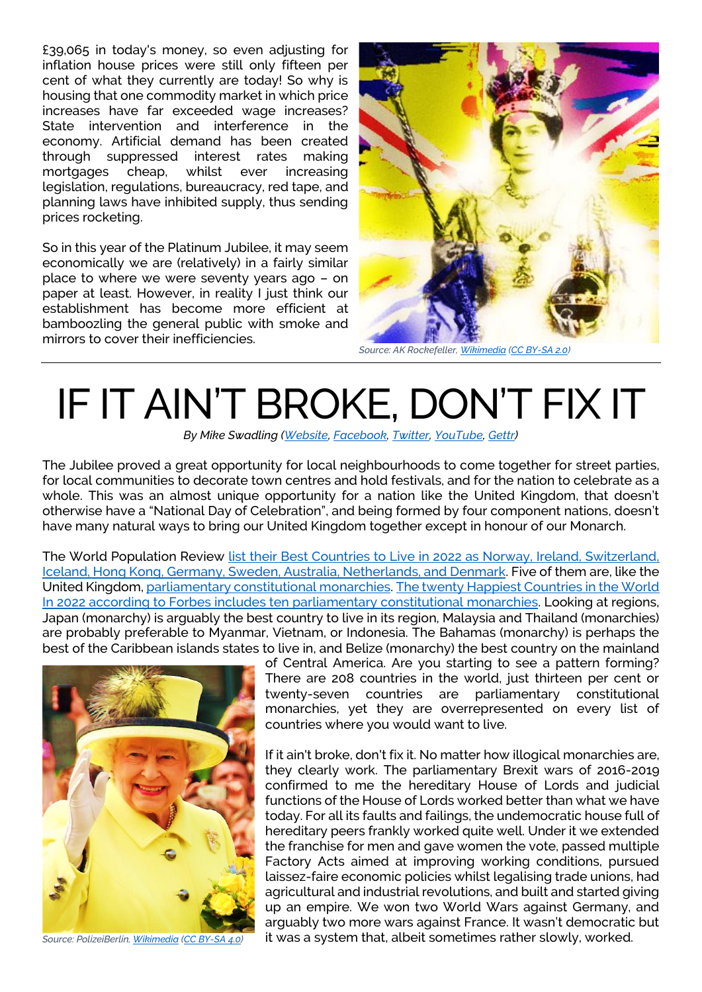£39,065 in today's money, so even adjusting for inflation house prices were still only fifteen per cent of what they currently are today! So why is housing that one commodity market in which price increases have far exceeded wage increases? State intervention and interference in the economy. Artificial demand has been created through suppressed interest rates making mortgages cheap, whilst ever increasing legislation, regulations, bureaucracy, red tape, and planning laws have inhibited supply, thus sending prices rocketing.

So in this year of the Platinum Jubilee, it may seem economically we are (relatively) in a fairly similar place to where we were seventy years ago – on paper at least. However, in reality I just think our establishment has become more efficient at bamboozling the general public with smoke and mirrors to cover their inefficiencies.



*Source: AK Rockefeller[, Wikimedia](https://upload.wikimedia.org/wikipedia/commons/1/11/Queen_Elizabeth_II_artwork.jpg) [\(CC BY-SA 2.0\)](https://creativecommons.org/licenses/by-sa/2.0/deed.en)*

## IF IT AIN'T BROKE, DON'T FIX IT

*By Mike Swadling [\(Website,](http://croydonconstitutionalists.uk/) [Facebook,](https://www.facebook.com/CroydonConstitutionalists) [Twitter,](https://twitter.com/MikeSwadling) [YouTube,](https://www.youtube.com/channel/UCuUW5_IaMc9w0cCim5Wdj8Q/videos?view=0&sort=dd&shelf_id=1) [Gettr\)](https://gettr.com/user/mikeswadling)*

The Jubilee proved a great opportunity for local neighbourhoods to come together for street parties, for local communities to decorate town centres and hold festivals, and for the nation to celebrate as a whole. This was an almost unique opportunity for a nation like the United Kingdom, that doesn't otherwise have a "National Day of Celebration", and being formed by four component nations, doesn't have many natural ways to bring our United Kingdom together except in honour of our Monarch.

The World Population Review list their Best Countries to Live in 2022 as Norway, Ireland, Switzerland, [Iceland, Hong Kong, Germany, Sweden, Australia, Netherlands, and Denmark.](https://worldpopulationreview.com/country-rankings/best-countries-to-live-in) Five of them are, like the United Kingdom, [parliamentary constitutional monarchies.](https://en.wikipedia.org/wiki/Constitutional_monarchy) The twenty Happiest [Countries in the World](https://www.forbes.com/sites/laurabegleybloom/2022/03/18/ranked-the-20-happiest-countries-in-the-world-in-2022/)  [In 2022 according to Forbes includes ten parliamentary constitutional monarchies.](https://www.forbes.com/sites/laurabegleybloom/2022/03/18/ranked-the-20-happiest-countries-in-the-world-in-2022/) Looking at regions, Japan (monarchy) is arguably the best country to live in its region, Malaysia and Thailand (monarchies) are probably preferable to Myanmar, Vietnam, or Indonesia. The Bahamas (monarchy) is perhaps the best of the Caribbean islands states to live in, and Belize (monarchy) the best country on the mainland



*Source: PolizeiBerlin, [Wikimedia](https://upload.wikimedia.org/wikipedia/commons/6/68/Elizabeth_II_in_Berlin_2015_%28cropped%29.JPG) [\(CC BY-SA 4.0\)](https://creativecommons.org/licenses/by-sa/4.0/deed.en)*

of Central America. Are you starting to see a pattern forming? There are 208 countries in the world, just thirteen per cent or twenty-seven countries are parliamentary constitutional monarchies, yet they are overrepresented on every list of countries where you would want to live.

If it ain't broke, don't fix it. No matter how illogical monarchies are, they clearly work. The parliamentary Brexit wars of 2016-2019 confirmed to me the hereditary House of Lords and judicial functions of the House of Lords worked better than what we have today. For all its faults and failings, the undemocratic house full of hereditary peers frankly worked quite well. Under it we extended the franchise for men and gave women the vote, passed multiple Factory Acts aimed at improving working conditions, pursued laissez-faire economic policies whilst legalising trade unions, had agricultural and industrial revolutions, and built and started giving up an empire. We won two World Wars against Germany, and arguably two more wars against France. It wasn't democratic but it was a system that, albeit sometimes rather slowly, worked.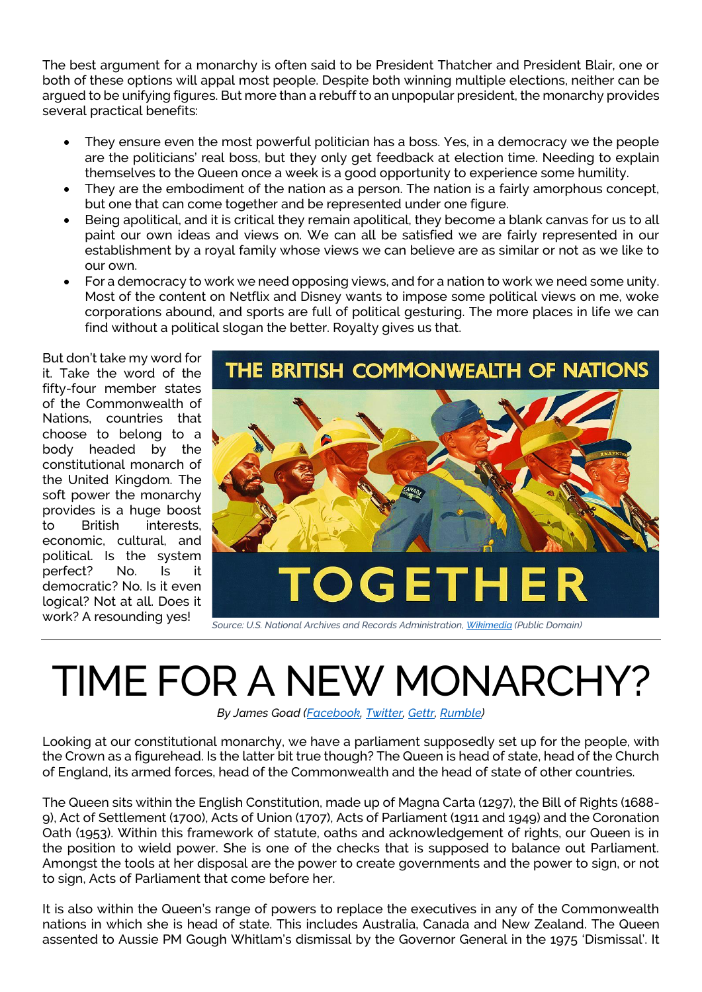The best argument for a monarchy is often said to be President Thatcher and President Blair, one or both of these options will appal most people. Despite both winning multiple elections, neither can be argued to be unifying figures. But more than a rebuff to an unpopular president, the monarchy provides several practical benefits:

- They ensure even the most powerful politician has a boss. Yes, in a democracy we the people are the politicians' real boss, but they only get feedback at election time. Needing to explain themselves to the Queen once a week is a good opportunity to experience some humility.
- They are the embodiment of the nation as a person. The nation is a fairly amorphous concept, but one that can come together and be represented under one figure.
- Being apolitical, and it is critical they remain apolitical, they become a blank canvas for us to all paint our own ideas and views on. We can all be satisfied we are fairly represented in our establishment by a royal family whose views we can believe are as similar or not as we like to our own.
- For a democracy to work we need opposing views, and for a nation to work we need some unity. Most of the content on Netflix and Disney wants to impose some political views on me, woke corporations abound, and sports are full of political gesturing. The more places in life we can find without a political slogan the better. Royalty gives us that.

But don't take my word for it. Take the word of the fifty-four member states of the Commonwealth of Nations, countries that choose to belong to a body headed by the constitutional monarch of the United Kingdom. The soft power the monarchy provides is a huge boost to British interests, economic, cultural, and political. Is the system perfect? No. Is it democratic? No. Is it even logical? Not at all. Does it work? A resounding yes!



## TIME FOR A NEW MONARCHY?

*By James Goad [\(Facebook,](https://www.facebook.com/HistUnchained) [Twitter,](https://twitter.com/HistoryUnchain) [Gettr,](https://gettr.com/user/heckyman) [Rumble\)](https://rumble.com/user/UnchainedHistory)*

Looking at our constitutional monarchy, we have a parliament supposedly set up for the people, with the Crown as a figurehead. Is the latter bit true though? The Queen is head of state, head of the Church of England, its armed forces, head of the Commonwealth and the head of state of other countries.

The Queen sits within the English Constitution, made up of Magna Carta (1297), the Bill of Rights (1688- 9), Act of Settlement (1700), Acts of Union (1707), Acts of Parliament (1911 and 1949) and the Coronation Oath (1953). Within this framework of statute, oaths and acknowledgement of rights, our Queen is in the position to wield power. She is one of the checks that is supposed to balance out Parliament. Amongst the tools at her disposal are the power to create governments and the power to sign, or not to sign, Acts of Parliament that come before her.

It is also within the Queen's range of powers to replace the executives in any of the Commonwealth nations in which she is head of state. This includes Australia, Canada and New Zealand. The Queen assented to Aussie PM Gough Whitlam's dismissal by the Governor General in the 1975 'Dismissal'. It